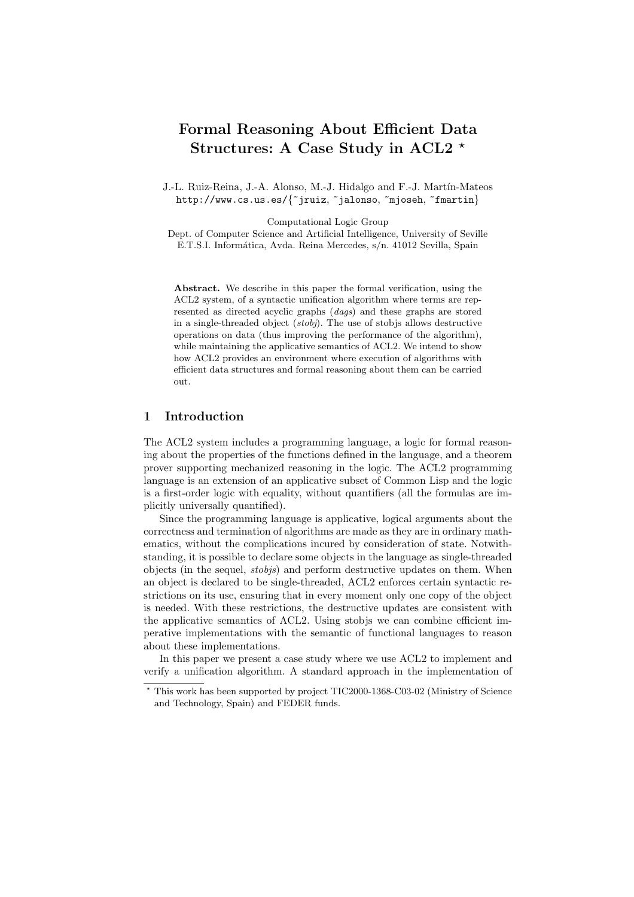# Formal Reasoning About Efficient Data Structures: A Case Study in ACL2  $\star$

J.-L. Ruiz-Reina, J.-A. Alonso, M.-J. Hidalgo and F.-J. Martín-Mateos http://www.cs.us.es/{~jruiz, ~jalonso, ~mjoseh, ~fmartin}

Computational Logic Group

Dept. of Computer Science and Artificial Intelligence, University of Seville E.T.S.I. Informática, Avda. Reina Mercedes, s/n. 41012 Sevilla, Spain

Abstract. We describe in this paper the formal verification, using the ACL2 system, of a syntactic unification algorithm where terms are represented as directed acyclic graphs (dags) and these graphs are stored in a single-threaded object  $(stobj)$ . The use of stobjs allows destructive operations on data (thus improving the performance of the algorithm), while maintaining the applicative semantics of ACL2. We intend to show how ACL2 provides an environment where execution of algorithms with efficient data structures and formal reasoning about them can be carried out.

# 1 Introduction

The ACL2 system includes a programming language, a logic for formal reasoning about the properties of the functions defined in the language, and a theorem prover supporting mechanized reasoning in the logic. The ACL2 programming language is an extension of an applicative subset of Common Lisp and the logic is a first-order logic with equality, without quantifiers (all the formulas are implicitly universally quantified).

Since the programming language is applicative, logical arguments about the correctness and termination of algorithms are made as they are in ordinary mathematics, without the complications incured by consideration of state. Notwithstanding, it is possible to declare some objects in the language as single-threaded objects (in the sequel, stobjs) and perform destructive updates on them. When an object is declared to be single-threaded, ACL2 enforces certain syntactic restrictions on its use, ensuring that in every moment only one copy of the object is needed. With these restrictions, the destructive updates are consistent with the applicative semantics of ACL2. Using stobjs we can combine efficient imperative implementations with the semantic of functional languages to reason about these implementations.

In this paper we present a case study where we use ACL2 to implement and verify a unification algorithm. A standard approach in the implementation of

<sup>?</sup> This work has been supported by project TIC2000-1368-C03-02 (Ministry of Science and Technology, Spain) and FEDER funds.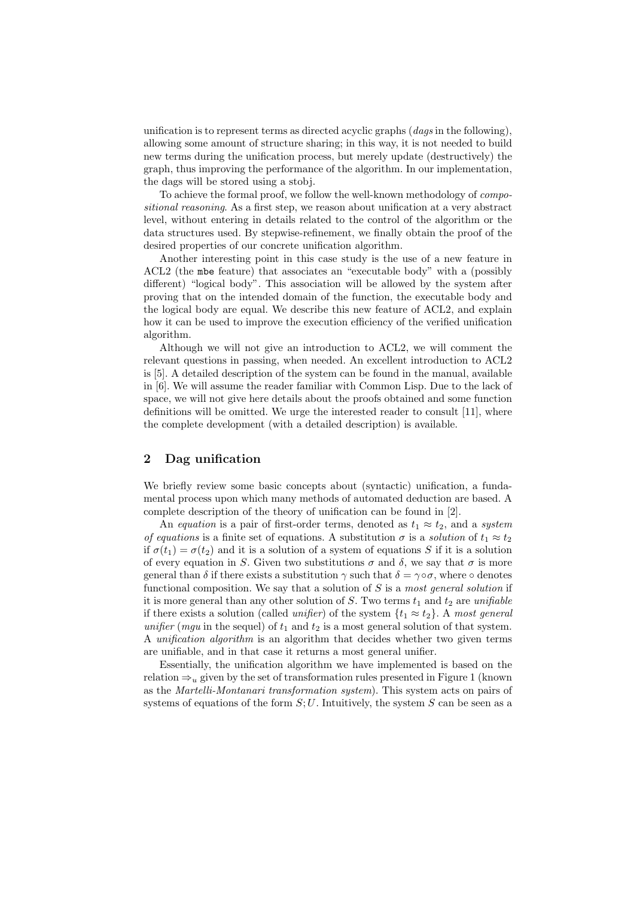unification is to represent terms as directed acyclic graphs  $(dags \text{ in the following}),$ allowing some amount of structure sharing; in this way, it is not needed to build new terms during the unification process, but merely update (destructively) the graph, thus improving the performance of the algorithm. In our implementation, the dags will be stored using a stobj.

To achieve the formal proof, we follow the well-known methodology of compositional reasoning. As a first step, we reason about unification at a very abstract level, without entering in details related to the control of the algorithm or the data structures used. By stepwise-refinement, we finally obtain the proof of the desired properties of our concrete unification algorithm.

Another interesting point in this case study is the use of a new feature in ACL2 (the mbe feature) that associates an "executable body" with a (possibly different) "logical body". This association will be allowed by the system after proving that on the intended domain of the function, the executable body and the logical body are equal. We describe this new feature of ACL2, and explain how it can be used to improve the execution efficiency of the verified unification algorithm.

Although we will not give an introduction to ACL2, we will comment the relevant questions in passing, when needed. An excellent introduction to ACL2 is [5]. A detailed description of the system can be found in the manual, available in [6]. We will assume the reader familiar with Common Lisp. Due to the lack of space, we will not give here details about the proofs obtained and some function definitions will be omitted. We urge the interested reader to consult [11], where the complete development (with a detailed description) is available.

## 2 Dag unification

We briefly review some basic concepts about (syntactic) unification, a fundamental process upon which many methods of automated deduction are based. A complete description of the theory of unification can be found in [2].

An equation is a pair of first-order terms, denoted as  $t_1 \approx t_2$ , and a system of equations is a finite set of equations. A substitution  $\sigma$  is a solution of  $t_1 \approx t_2$ if  $\sigma(t_1) = \sigma(t_2)$  and it is a solution of a system of equations S if it is a solution of every equation in S. Given two substitutions  $\sigma$  and  $\delta$ , we say that  $\sigma$  is more general than  $\delta$  if there exists a substitution  $\gamma$  such that  $\delta = \gamma \circ \sigma$ , where  $\circ$  denotes functional composition. We say that a solution of  $S$  is a most general solution if it is more general than any other solution of  $S$ . Two terms  $t_1$  and  $t_2$  are unifiable if there exists a solution (called *unifier*) of the system  $\{t_1 \approx t_2\}$ . A most general unifier (mgu in the sequel) of  $t_1$  and  $t_2$  is a most general solution of that system. A unification algorithm is an algorithm that decides whether two given terms are unifiable, and in that case it returns a most general unifier.

Essentially, the unification algorithm we have implemented is based on the relation  $\Rightarrow_u$  given by the set of transformation rules presented in Figure 1 (known as the Martelli-Montanari transformation system). This system acts on pairs of systems of equations of the form  $S;U$ . Intuitively, the system S can be seen as a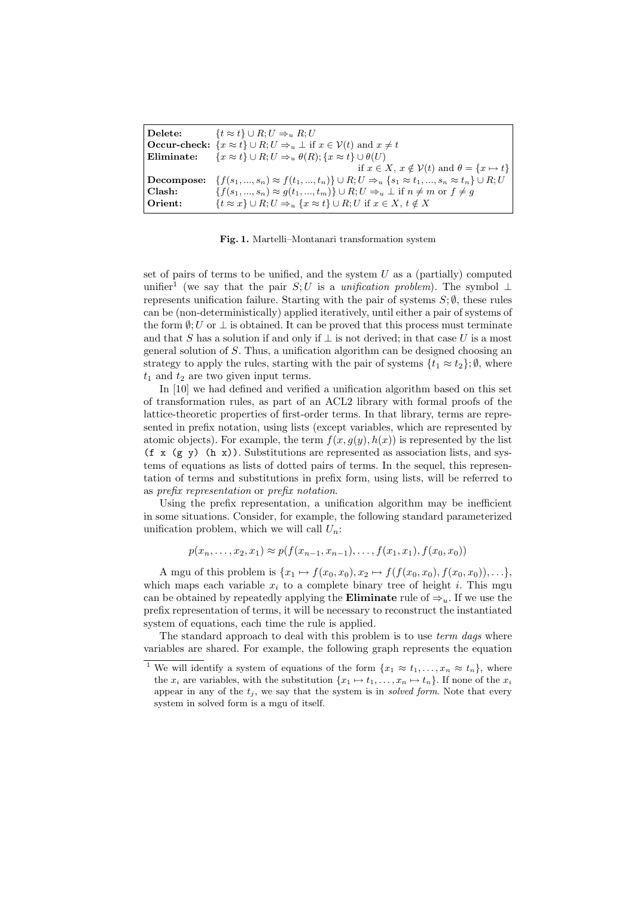| $\vert$ Delete: | $\{t \approx t\} \cup R: U \Rightarrow_u R: U$                                                                                 |
|-----------------|--------------------------------------------------------------------------------------------------------------------------------|
|                 | <b>Occur-check:</b> $\{x \approx t\} \cup R; U \Rightarrow_u \bot$ if $x \in V(t)$ and $x \neq t$                              |
|                 | <b>Eliminate:</b> $\{x \approx t\} \cup R; U \Rightarrow_u \theta(R); \{x \approx t\} \cup \theta(U)$                          |
|                 | if $x \in X$ , $x \notin V(t)$ and $\theta = \{x \mapsto t\}$                                                                  |
|                 | <b>Decompose:</b> $\{f(s_1,,s_n) \approx f(t_1,,t_n)\} \cup R; U \Rightarrow_u \{s_1 \approx t_1,,s_n \approx t_n\} \cup R; U$ |
| $\vert$ Clash:  | $\{f(s_1,,s_n) \approx g(t_1,,t_m)\}\cup R; U \Rightarrow_u \bot \text{ if } n \neq m \text{ or } f \neq g$                    |
| $\mid$ Orient:  | $\{t \approx x\} \cup R; U \Rightarrow_u \{x \approx t\} \cup R; U$ if $x \in X, t \notin X$                                   |

Fig. 1. Martelli–Montanari transformation system

set of pairs of terms to be unified, and the system  $U$  as a (partially) computed unifier<sup>1</sup> (we say that the pair S; U is a unification problem). The symbol  $\perp$ represents unification failure. Starting with the pair of systems  $S; \emptyset$ , these rules can be (non-deterministically) applied iteratively, until either a pair of systems of the form  $\emptyset$ ; U or  $\perp$  is obtained. It can be proved that this process must terminate and that S has a solution if and only if  $\perp$  is not derived; in that case U is a most general solution of S. Thus, a unification algorithm can be designed choosing an strategy to apply the rules, starting with the pair of systems  $\{t_1 \approx t_2\}$ ;  $\emptyset$ , where  $t_1$  and  $t_2$  are two given input terms.

In [10] we had defined and verified a unification algorithm based on this set of transformation rules, as part of an ACL2 library with formal proofs of the lattice-theoretic properties of first-order terms. In that library, terms are represented in prefix notation, using lists (except variables, which are represented by atomic objects). For example, the term  $f(x, g(y), h(x))$  is represented by the list  $(f \times (g \ y)$  (h x)). Substitutions are represented as association lists, and systems of equations as lists of dotted pairs of terms. In the sequel, this representation of terms and substitutions in prefix form, using lists, will be referred to as prefix representation or prefix notation.

Using the prefix representation, a unification algorithm may be inefficient in some situations. Consider, for example, the following standard parameterized unification problem, which we will call  $U_n$ :

$$
p(x_n, \ldots, x_2, x_1) \approx p(f(x_{n-1}, x_{n-1}), \ldots, f(x_1, x_1), f(x_0, x_0))
$$

A mgu of this problem is  $\{x_1 \mapsto f(x_0, x_0), x_2 \mapsto f(f(x_0, x_0), f(x_0, x_0)), \ldots\},$ which maps each variable  $x_i$  to a complete binary tree of height i. This mgu can be obtained by repeatedly applying the **Eliminate** rule of  $\Rightarrow_u$ . If we use the prefix representation of terms, it will be necessary to reconstruct the instantiated system of equations, each time the rule is applied.

The standard approach to deal with this problem is to use *term dags* where variables are shared. For example, the following graph represents the equation

We will identify a system of equations of the form  $\{x_1 \approx t_1, \ldots, x_n \approx t_n\}$ , where the  $x_i$  are variables, with the substitution  $\{x_1 \mapsto t_1, \ldots, x_n \mapsto t_n\}$ . If none of the  $x_i$ appear in any of the  $t_j$ , we say that the system is in solved form. Note that every system in solved form is a mgu of itself.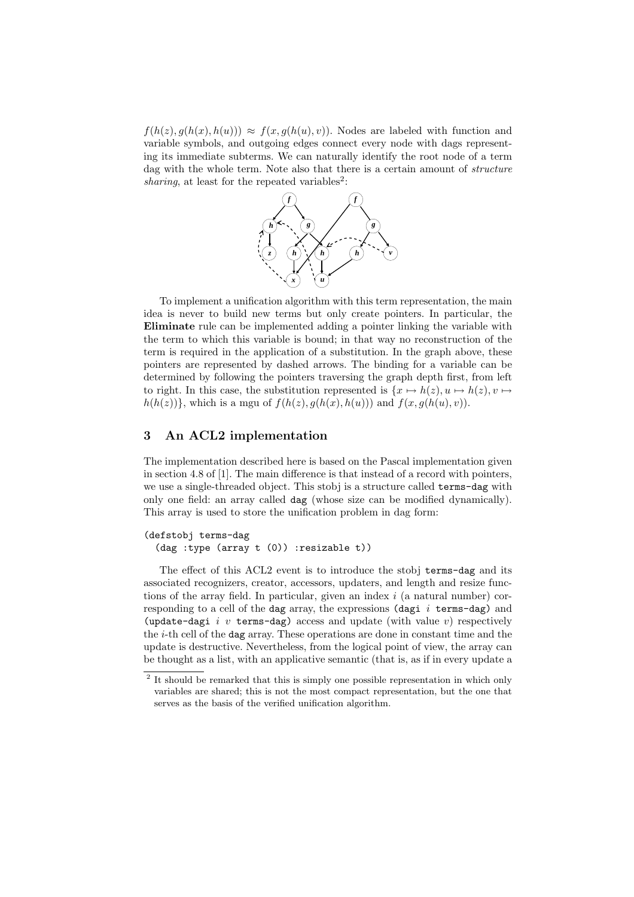$f(h(z), g(h(x), h(u))) \approx f(x, g(h(u), v))$ . Nodes are labeled with function and variable symbols, and outgoing edges connect every node with dags representing its immediate subterms. We can naturally identify the root node of a term dag with the whole term. Note also that there is a certain amount of *structure* sharing, at least for the repeated variables<sup>2</sup>:



To implement a unification algorithm with this term representation, the main idea is never to build new terms but only create pointers. In particular, the Eliminate rule can be implemented adding a pointer linking the variable with the term to which this variable is bound; in that way no reconstruction of the term is required in the application of a substitution. In the graph above, these pointers are represented by dashed arrows. The binding for a variable can be determined by following the pointers traversing the graph depth first, from left to right. In this case, the substitution represented is  $\{x \mapsto h(z), u \mapsto h(z), v \mapsto$  $h(h(z))$ , which is a mgu of  $f(h(z), g(h(x), h(u)))$  and  $f(x, g(h(u), v))$ .

# 3 An ACL2 implementation

The implementation described here is based on the Pascal implementation given in section 4.8 of [1]. The main difference is that instead of a record with pointers, we use a single-threaded object. This stobj is a structure called terms-dag with only one field: an array called dag (whose size can be modified dynamically). This array is used to store the unification problem in dag form:

```
(defstobj terms-dag
  (dag :type (array t (0)) :resizable t))
```
The effect of this ACL2 event is to introduce the stobj terms-dag and its associated recognizers, creator, accessors, updaters, and length and resize functions of the array field. In particular, given an index  $i$  (a natural number) corresponding to a cell of the dag array, the expressions (dagi  $i$  terms-dag) and (update-dagi i  $v$  terms-dag) access and update (with value  $v$ ) respectively the i-th cell of the dag array. These operations are done in constant time and the update is destructive. Nevertheless, from the logical point of view, the array can be thought as a list, with an applicative semantic (that is, as if in every update a

<sup>&</sup>lt;sup>2</sup> It should be remarked that this is simply one possible representation in which only variables are shared; this is not the most compact representation, but the one that serves as the basis of the verified unification algorithm.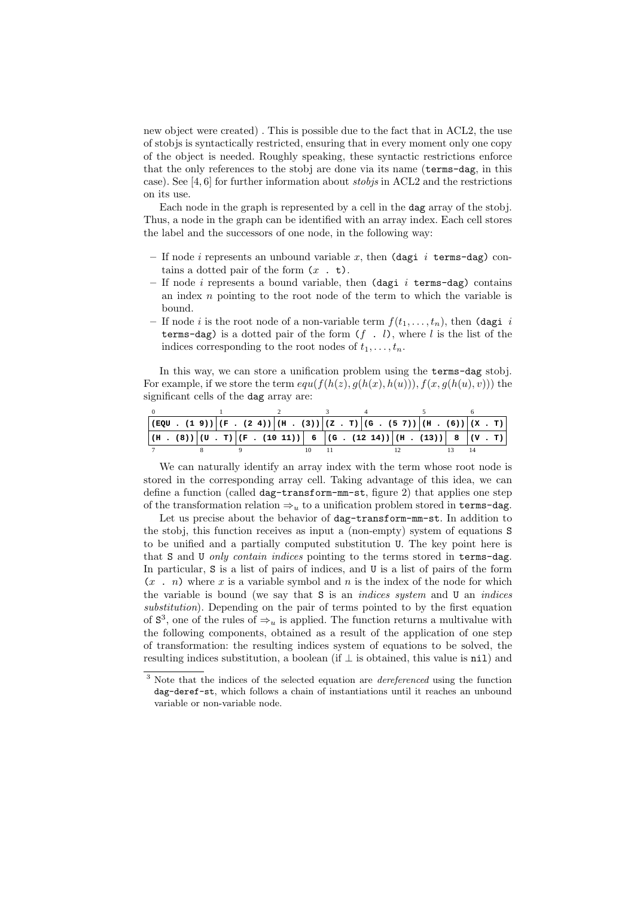new object were created) . This is possible due to the fact that in ACL2, the use of stobjs is syntactically restricted, ensuring that in every moment only one copy of the object is needed. Roughly speaking, these syntactic restrictions enforce that the only references to the stobj are done via its name (terms-dag, in this case). See [4, 6] for further information about *stobis* in ACL2 and the restrictions on its use.

Each node in the graph is represented by a cell in the dag array of the stobj. Thus, a node in the graph can be identified with an array index. Each cell stores the label and the successors of one node, in the following way:

- If node i represents an unbound variable x, then (dagi i terms-dag) contains a dotted pair of the form  $(x \cdot t)$ .
- If node i represents a bound variable, then  $(\text{dagi } i \text{ terms–dag})$  contains an index  $n$  pointing to the root node of the term to which the variable is bound.
- If node i is the root node of a non-variable term  $f(t_1, \ldots, t_n)$ , then (dagi i terms-dag) is a dotted pair of the form  $(f \cdot l)$ , where l is the list of the indices corresponding to the root nodes of  $t_1, \ldots, t_n$ .

In this way, we can store a unification problem using the terms-dag stobj. For example, if we store the term  $equ(f(h(z), g(h(x), h(u))), f(x, g(h(u), v)))$  the significant cells of the dag array are:

|  |  |  |  |  | $ (EQU \cdot (1\ 9)) (F \cdot (2\ 4)) (H \cdot (3)) (Z \cdot T) (G \cdot (5\ 7)) (H \cdot (6)) (X \cdot T) $ |  |  |  |
|--|--|--|--|--|--------------------------------------------------------------------------------------------------------------|--|--|--|
|  |  |  |  |  | $ (H. (8)) (U. T) (F. (10 11))  6  (G. (12 14)) (H. (13))  8  (V. T) $                                       |  |  |  |
|  |  |  |  |  |                                                                                                              |  |  |  |

We can naturally identify an array index with the term whose root node is stored in the corresponding array cell. Taking advantage of this idea, we can define a function (called dag-transform-mm-st, figure 2) that applies one step of the transformation relation  $\Rightarrow_u$  to a unification problem stored in terms-dag.

Let us precise about the behavior of dag-transform-mm-st. In addition to the stobj, this function receives as input a (non-empty) system of equations S to be unified and a partially computed substitution U. The key point here is that S and U *only contain indices* pointing to the terms stored in terms-dag. In particular, S is a list of pairs of indices, and U is a list of pairs of the form  $(x \cdot n)$  where x is a variable symbol and n is the index of the node for which the variable is bound (we say that S is an *indices system* and U an *indices* substitution). Depending on the pair of terms pointed to by the first equation of  $S^3$ , one of the rules of  $\Rightarrow_u$  is applied. The function returns a multivalue with the following components, obtained as a result of the application of one step of transformation: the resulting indices system of equations to be solved, the resulting indices substitution, a boolean (if  $\perp$  is obtained, this value is nil) and

<sup>&</sup>lt;sup>3</sup> Note that the indices of the selected equation are *dereferenced* using the function dag-deref-st, which follows a chain of instantiations until it reaches an unbound variable or non-variable node.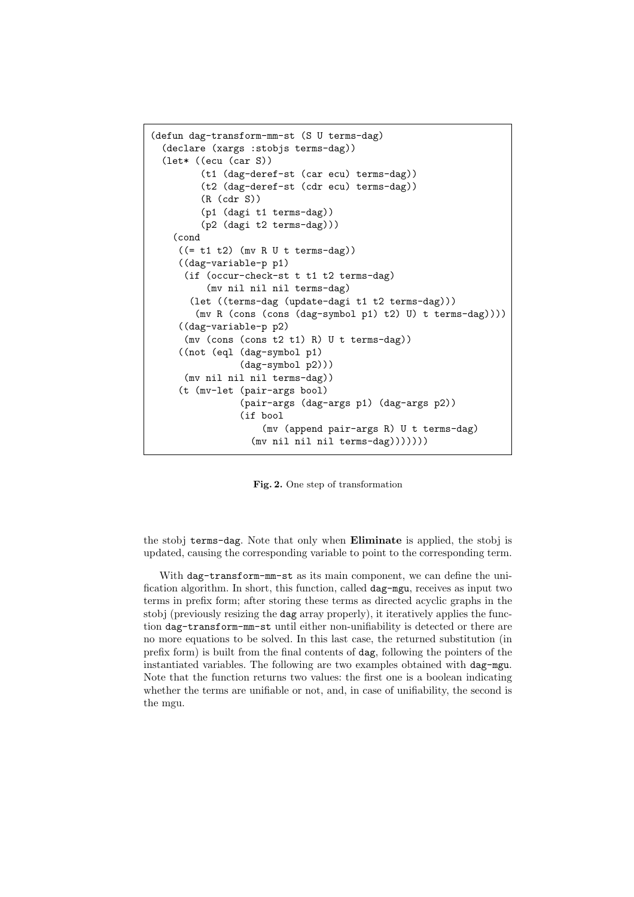```
(defun dag-transform-mm-st (S U terms-dag)
  (declare (xargs :stobjs terms-dag))
  (let* ((ecu (car S))
         (t1 (dag-deref-st (car ecu) terms-dag))
         (t2 (dag-deref-st (cdr ecu) terms-dag))
         (R (cdr S))
         (p1 (dagi t1 terms-dag))
         (p2 (dagi t2 terms-dag)))
    (cond
     ((= t1 t2) (mv R U t terms-dag))
     ((dag-variable-p p1)
      (if (occur-check-st t t1 t2 terms-dag)
          (mv nil nil nil terms-dag)
       (let ((terms-dag (update-dagi t1 t2 terms-dag)))
        (mv R (cons (cons (dag-symbol p1) t2) U) t terms-dag))))
     ((dag-variable-p p2)
      (mv (cons (cons t2 t1) R) U t terms-dag))
     ((not (eql (dag-symbol p1)
                (dag-symbol p2)))
      (mv nil nil nil terms-dag))
     (t (mv-let (pair-args bool)
                (pair-args (dag-args p1) (dag-args p2))
                (if bool
                    (mv (append pair-args R) U t terms-dag)
                  (mv nil nil nil terms-dag)))))))
```
Fig. 2. One step of transformation

the stobj terms-dag. Note that only when Eliminate is applied, the stobj is updated, causing the corresponding variable to point to the corresponding term.

With dag-transform-mm-st as its main component, we can define the unification algorithm. In short, this function, called dag-mgu, receives as input two terms in prefix form; after storing these terms as directed acyclic graphs in the stobj (previously resizing the dag array properly), it iteratively applies the function dag-transform-mm-st until either non-unifiability is detected or there are no more equations to be solved. In this last case, the returned substitution (in prefix form) is built from the final contents of dag, following the pointers of the instantiated variables. The following are two examples obtained with dag-mgu. Note that the function returns two values: the first one is a boolean indicating whether the terms are unifiable or not, and, in case of unifiability, the second is the mgu.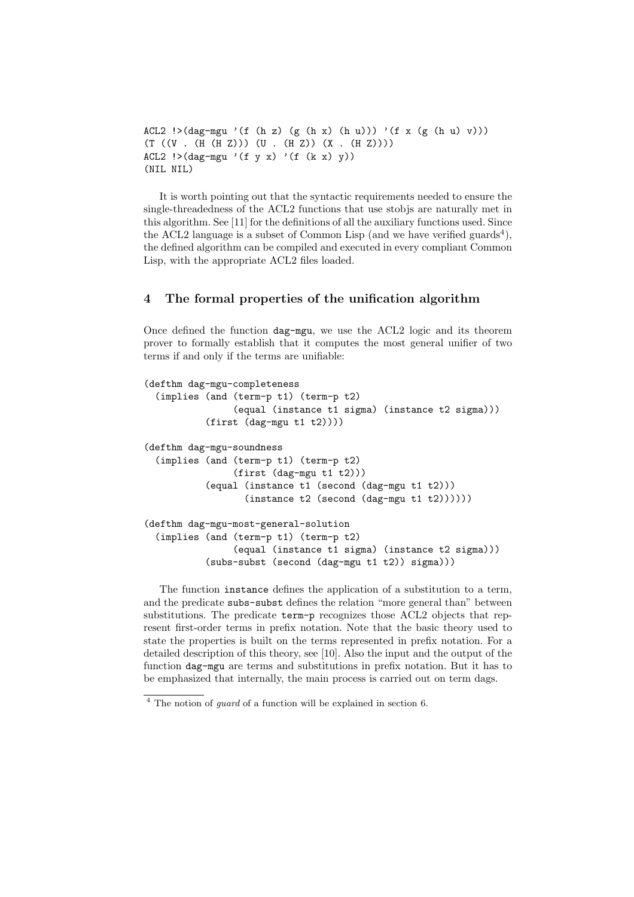```
ACL2 !>(dag-mgu '(f (h z) (g (h x) (h u))) '(f x (g (h u) v)))(T ((V . (H (H Z))) (U . (H Z)) (X . (H Z))))ACL2 !>(\text{dag-mgu } '(f y x) '(f (k x) y))(NIL NIL)
```
It is worth pointing out that the syntactic requirements needed to ensure the single-threadedness of the ACL2 functions that use stobjs are naturally met in this algorithm. See [11] for the definitions of all the auxiliary functions used. Since the ACL2 language is a subset of Common Lisp (and we have verified guards<sup>4</sup>), the defined algorithm can be compiled and executed in every compliant Common Lisp, with the appropriate ACL2 files loaded.

# 4 The formal properties of the unification algorithm

Once defined the function dag-mgu, we use the ACL2 logic and its theorem prover to formally establish that it computes the most general unifier of two terms if and only if the terms are unifiable:

```
(defthm dag-mgu-completeness
  (implies (and (term-p t1) (term-p t2)
                (equal (instance t1 sigma) (instance t2 sigma)))
           (first (dag-mgu t1 t2))))
(defthm dag-mgu-soundness
  (implies (and (term-p t1) (term-p t2)
                (first (dag-mgu t1 t2)))
           (equal (instance t1 (second (dag-mgu t1 t2)))
                  (instance t2 (second (dag-mgu t1 t2))))(defthm dag-mgu-most-general-solution
  (implies (and (term-p t1) (term-p t2)
                (equal (instance t1 sigma) (instance t2 sigma)))
           (subs-subst (second (dag-mgu t1 t2)) sigma)))
```
The function instance defines the application of a substitution to a term, and the predicate subs-subst defines the relation "more general than" between substitutions. The predicate term-p recognizes those ACL2 objects that represent first-order terms in prefix notation. Note that the basic theory used to state the properties is built on the terms represented in prefix notation. For a detailed description of this theory, see [10]. Also the input and the output of the function dag-mgu are terms and substitutions in prefix notation. But it has to be emphasized that internally, the main process is carried out on term dags.

 $\frac{4}{4}$  The notion of *quard* of a function will be explained in section 6.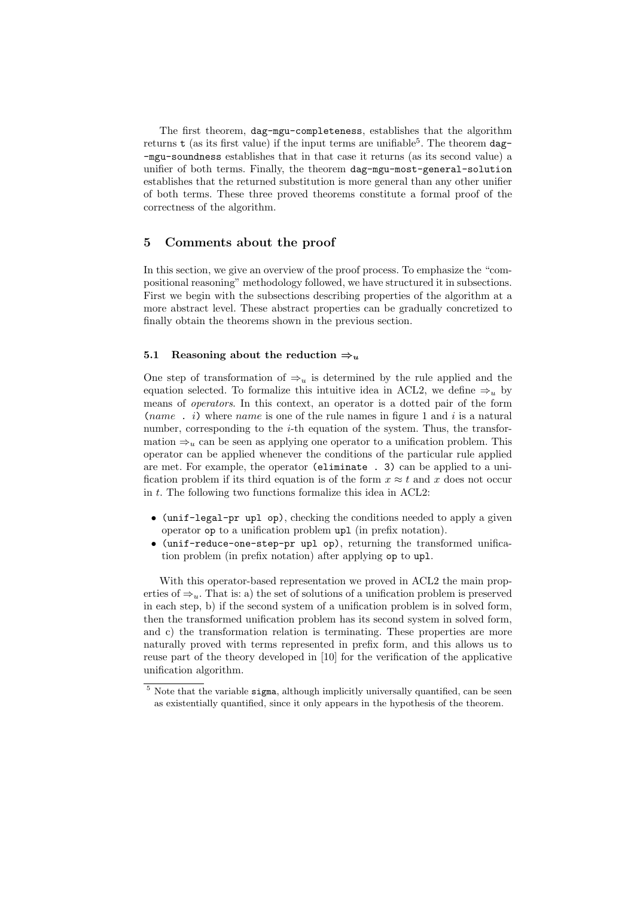The first theorem, dag-mgu-completeness, establishes that the algorithm returns  $t$  (as its first value) if the input terms are unifiable<sup>5</sup>. The theorem dag--mgu-soundness establishes that in that case it returns (as its second value) a unifier of both terms. Finally, the theorem dag-mgu-most-general-solution establishes that the returned substitution is more general than any other unifier of both terms. These three proved theorems constitute a formal proof of the correctness of the algorithm.

# 5 Comments about the proof

In this section, we give an overview of the proof process. To emphasize the "compositional reasoning" methodology followed, we have structured it in subsections. First we begin with the subsections describing properties of the algorithm at a more abstract level. These abstract properties can be gradually concretized to finally obtain the theorems shown in the previous section.

### 5.1 Reasoning about the reduction  $\Rightarrow_u$

One step of transformation of  $\Rightarrow_u$  is determined by the rule applied and the equation selected. To formalize this intuitive idea in ACL2, we define  $\Rightarrow_u$  by means of operators. In this context, an operator is a dotted pair of the form (name. i) where name is one of the rule names in figure 1 and i is a natural number, corresponding to the  $i$ -th equation of the system. Thus, the transformation  $\Rightarrow_u$  can be seen as applying one operator to a unification problem. This operator can be applied whenever the conditions of the particular rule applied are met. For example, the operator (eliminate . 3) can be applied to a unification problem if its third equation is of the form  $x \approx t$  and x does not occur in t. The following two functions formalize this idea in ACL2:

- (unif-legal-pr upl op), checking the conditions needed to apply a given operator op to a unification problem upl (in prefix notation).
- (unif-reduce-one-step-pr upl op), returning the transformed unification problem (in prefix notation) after applying op to upl.

With this operator-based representation we proved in ACL2 the main properties of  $\Rightarrow_u$ . That is: a) the set of solutions of a unification problem is preserved in each step, b) if the second system of a unification problem is in solved form, then the transformed unification problem has its second system in solved form, and c) the transformation relation is terminating. These properties are more naturally proved with terms represented in prefix form, and this allows us to reuse part of the theory developed in [10] for the verification of the applicative unification algorithm.

 $5$  Note that the variable sigma, although implicitly universally quantified, can be seen as existentially quantified, since it only appears in the hypothesis of the theorem.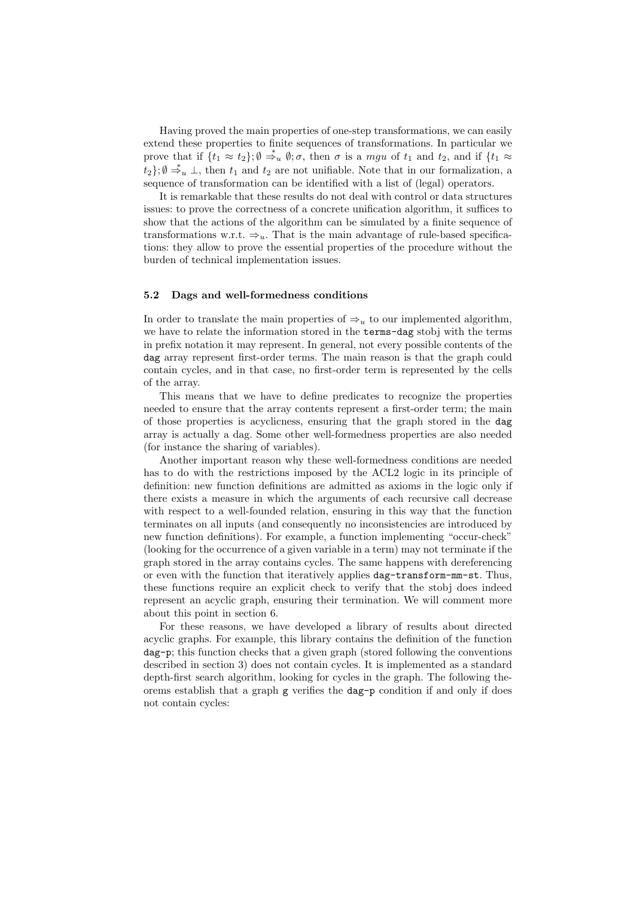Having proved the main properties of one-step transformations, we can easily extend these properties to finite sequences of transformations. In particular we prove that if  $\{t_1 \approx t_2\}$ ;  $\emptyset \stackrel{*}{\Rightarrow}_u \emptyset$ ;  $\sigma$ , then  $\sigma$  is a mgu of  $t_1$  and  $t_2$ , and if  $\{t_1 \approx t_2\}$  $\{t_1\}$ ;  $\emptyset \stackrel{*}{\Rightarrow} u \perp$ , then  $t_1$  and  $t_2$  are not unifiable. Note that in our formalization, a sequence of transformation can be identified with a list of (legal) operators.

It is remarkable that these results do not deal with control or data structures issues: to prove the correctness of a concrete unification algorithm, it suffices to show that the actions of the algorithm can be simulated by a finite sequence of transformations w.r.t.  $\Rightarrow_u$ . That is the main advantage of rule-based specifications: they allow to prove the essential properties of the procedure without the burden of technical implementation issues.

#### 5.2 Dags and well-formedness conditions

In order to translate the main properties of  $\Rightarrow_u$  to our implemented algorithm, we have to relate the information stored in the terms-dag stobj with the terms in prefix notation it may represent. In general, not every possible contents of the dag array represent first-order terms. The main reason is that the graph could contain cycles, and in that case, no first-order term is represented by the cells of the array.

This means that we have to define predicates to recognize the properties needed to ensure that the array contents represent a first-order term; the main of those properties is acyclicness, ensuring that the graph stored in the dag array is actually a dag. Some other well-formedness properties are also needed (for instance the sharing of variables).

Another important reason why these well-formedness conditions are needed has to do with the restrictions imposed by the ACL2 logic in its principle of definition: new function definitions are admitted as axioms in the logic only if there exists a measure in which the arguments of each recursive call decrease with respect to a well-founded relation, ensuring in this way that the function terminates on all inputs (and consequently no inconsistencies are introduced by new function definitions). For example, a function implementing "occur-check" (looking for the occurrence of a given variable in a term) may not terminate if the graph stored in the array contains cycles. The same happens with dereferencing or even with the function that iteratively applies dag-transform-mm-st. Thus, these functions require an explicit check to verify that the stobj does indeed represent an acyclic graph, ensuring their termination. We will comment more about this point in section 6.

For these reasons, we have developed a library of results about directed acyclic graphs. For example, this library contains the definition of the function dag-p; this function checks that a given graph (stored following the conventions described in section 3) does not contain cycles. It is implemented as a standard depth-first search algorithm, looking for cycles in the graph. The following theorems establish that a graph g verifies the dag-p condition if and only if does not contain cycles: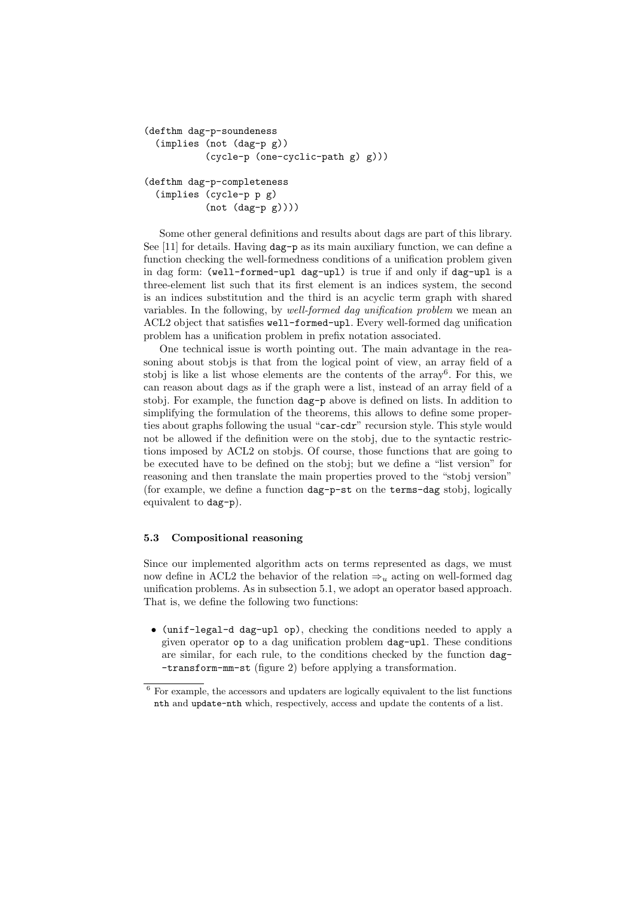```
(defthm dag-p-soundeness
  (implies (not (dag-p g))
           (cycle-p (one-cyclic-path g) g)))
(defthm dag-p-completeness
  (implies (cycle-p p g)
           (not (dag-p g))))
```
Some other general definitions and results about dags are part of this library. See [11] for details. Having dag-p as its main auxiliary function, we can define a function checking the well-formedness conditions of a unification problem given in dag form: (well-formed-upl dag-upl) is true if and only if dag-upl is a three-element list such that its first element is an indices system, the second is an indices substitution and the third is an acyclic term graph with shared variables. In the following, by well-formed dag unification problem we mean an ACL2 object that satisfies well-formed-upl. Every well-formed dag unification problem has a unification problem in prefix notation associated.

One technical issue is worth pointing out. The main advantage in the reasoning about stobjs is that from the logical point of view, an array field of a stobj is like a list whose elements are the contents of the array<sup>6</sup>. For this, we can reason about dags as if the graph were a list, instead of an array field of a stobj. For example, the function dag-p above is defined on lists. In addition to simplifying the formulation of the theorems, this allows to define some properties about graphs following the usual "car-cdr" recursion style. This style would not be allowed if the definition were on the stobj, due to the syntactic restrictions imposed by ACL2 on stobjs. Of course, those functions that are going to be executed have to be defined on the stobj; but we define a "list version" for reasoning and then translate the main properties proved to the "stobj version" (for example, we define a function dag-p-st on the terms-dag stobj, logically equivalent to dag-p).

## 5.3 Compositional reasoning

Since our implemented algorithm acts on terms represented as dags, we must now define in ACL2 the behavior of the relation  $\Rightarrow_u$  acting on well-formed dag unification problems. As in subsection 5.1, we adopt an operator based approach. That is, we define the following two functions:

• (unif-legal-d dag-upl op), checking the conditions needed to apply a given operator op to a dag unification problem dag-upl. These conditions are similar, for each rule, to the conditions checked by the function dag- -transform-mm-st (figure 2) before applying a transformation.

<sup>6</sup> For example, the accessors and updaters are logically equivalent to the list functions nth and update-nth which, respectively, access and update the contents of a list.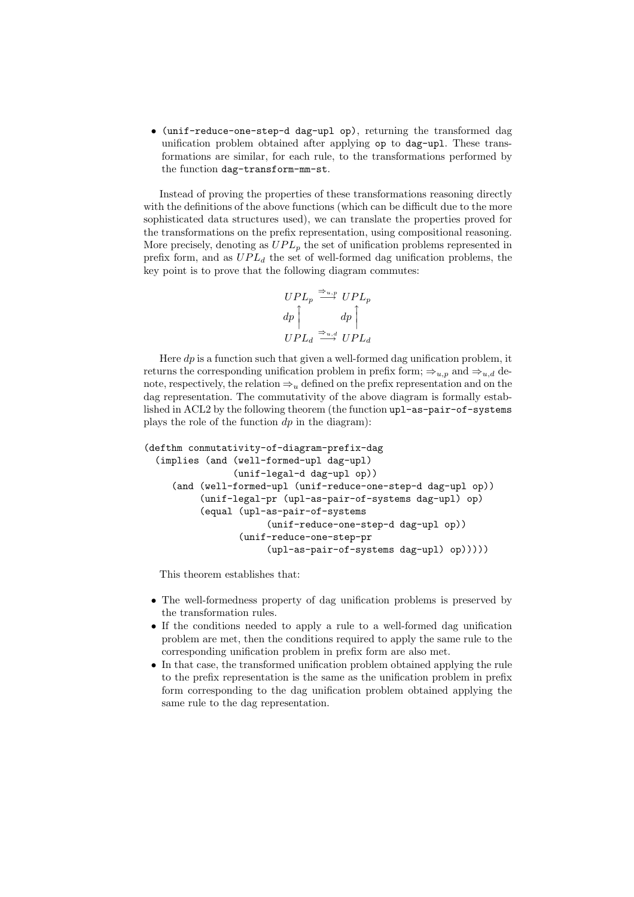• (unif-reduce-one-step-d dag-upl op), returning the transformed dag unification problem obtained after applying op to dag-upl. These transformations are similar, for each rule, to the transformations performed by the function dag-transform-mm-st.

Instead of proving the properties of these transformations reasoning directly with the definitions of the above functions (which can be difficult due to the more sophisticated data structures used), we can translate the properties proved for the transformations on the prefix representation, using compositional reasoning. More precisely, denoting as  $UPL_p$  the set of unification problems represented in prefix form, and as  $UPL_d$  the set of well-formed dag unification problems, the key point is to prove that the following diagram commutes:

$$
UPL_p \stackrel{\Rightarrow u,p}{\longrightarrow} UPL_p
$$
  

$$
dp \uparrow \qquad dp \uparrow
$$
  

$$
UPL_d \stackrel{\Rightarrow u,d}{\longrightarrow} UPL_d
$$

Here  $dp$  is a function such that given a well-formed dag unification problem, it returns the corresponding unification problem in prefix form;  $\Rightarrow_{u,p}$  and  $\Rightarrow_{u,d}$  denote, respectively, the relation  $\Rightarrow_u$  defined on the prefix representation and on the dag representation. The commutativity of the above diagram is formally established in ACL2 by the following theorem (the function upl-as-pair-of-systems plays the role of the function  $dp$  in the diagram):

```
(defthm conmutativity-of-diagram-prefix-dag
  (implies (and (well-formed-upl dag-upl)
                (unif-legal-d dag-upl op))
     (and (well-formed-upl (unif-reduce-one-step-d dag-upl op))
          (unif-legal-pr (upl-as-pair-of-systems dag-upl) op)
          (equal (upl-as-pair-of-systems
                      (unif-reduce-one-step-d dag-upl op))
                 (unif-reduce-one-step-pr
                      (upl-as-pair-of-systems dag-upl) op)))))
```
This theorem establishes that:

- The well-formedness property of dag unification problems is preserved by the transformation rules.
- If the conditions needed to apply a rule to a well-formed dag unification problem are met, then the conditions required to apply the same rule to the corresponding unification problem in prefix form are also met.
- In that case, the transformed unification problem obtained applying the rule to the prefix representation is the same as the unification problem in prefix form corresponding to the dag unification problem obtained applying the same rule to the dag representation.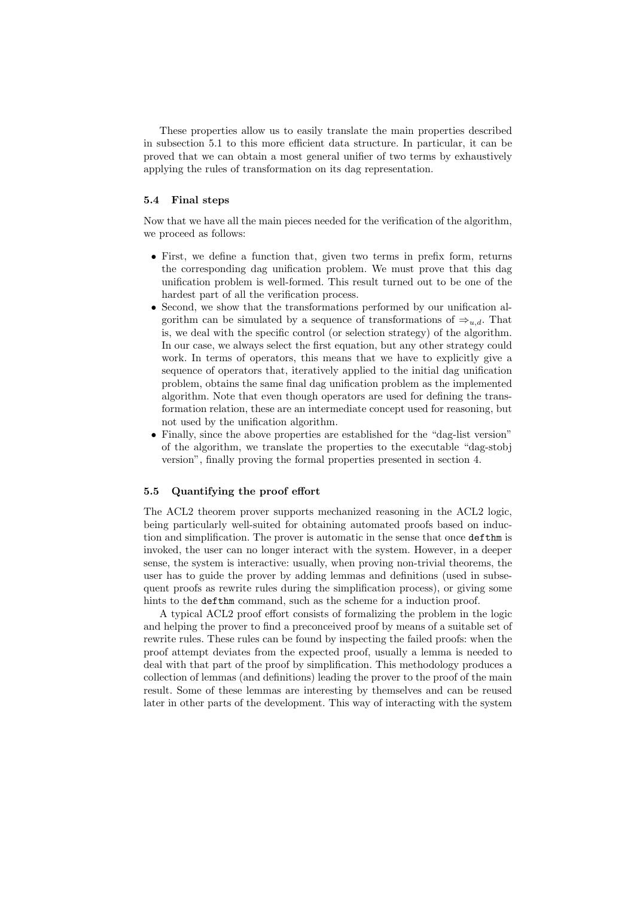These properties allow us to easily translate the main properties described in subsection 5.1 to this more efficient data structure. In particular, it can be proved that we can obtain a most general unifier of two terms by exhaustively applying the rules of transformation on its dag representation.

## 5.4 Final steps

Now that we have all the main pieces needed for the verification of the algorithm, we proceed as follows:

- First, we define a function that, given two terms in prefix form, returns the corresponding dag unification problem. We must prove that this dag unification problem is well-formed. This result turned out to be one of the hardest part of all the verification process.
- Second, we show that the transformations performed by our unification algorithm can be simulated by a sequence of transformations of  $\Rightarrow_{u,d}$ . That is, we deal with the specific control (or selection strategy) of the algorithm. In our case, we always select the first equation, but any other strategy could work. In terms of operators, this means that we have to explicitly give a sequence of operators that, iteratively applied to the initial dag unification problem, obtains the same final dag unification problem as the implemented algorithm. Note that even though operators are used for defining the transformation relation, these are an intermediate concept used for reasoning, but not used by the unification algorithm.
- Finally, since the above properties are established for the "dag-list version" of the algorithm, we translate the properties to the executable "dag-stobj version", finally proving the formal properties presented in section 4.

#### 5.5 Quantifying the proof effort

The ACL2 theorem prover supports mechanized reasoning in the ACL2 logic, being particularly well-suited for obtaining automated proofs based on induction and simplification. The prover is automatic in the sense that once defthm is invoked, the user can no longer interact with the system. However, in a deeper sense, the system is interactive: usually, when proving non-trivial theorems, the user has to guide the prover by adding lemmas and definitions (used in subsequent proofs as rewrite rules during the simplification process), or giving some hints to the **defthm** command, such as the scheme for a induction proof.

A typical ACL2 proof effort consists of formalizing the problem in the logic and helping the prover to find a preconceived proof by means of a suitable set of rewrite rules. These rules can be found by inspecting the failed proofs: when the proof attempt deviates from the expected proof, usually a lemma is needed to deal with that part of the proof by simplification. This methodology produces a collection of lemmas (and definitions) leading the prover to the proof of the main result. Some of these lemmas are interesting by themselves and can be reused later in other parts of the development. This way of interacting with the system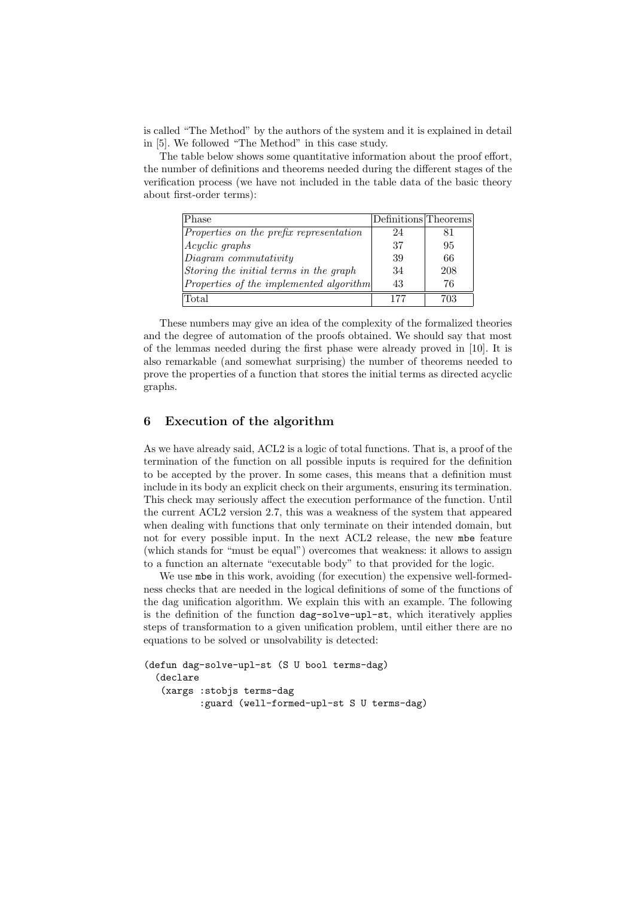is called "The Method" by the authors of the system and it is explained in detail in [5]. We followed "The Method" in this case study.

The table below shows some quantitative information about the proof effort, the number of definitions and theorems needed during the different stages of the verification process (we have not included in the table data of the basic theory about first-order terms):

| Phase                                            | Definitions Theorems |     |
|--------------------------------------------------|----------------------|-----|
| Properties on the prefix representation          | 24                   | 81  |
| Acyclic graphs                                   | 37                   | 95  |
| Diagram commutativity                            | 39                   | 66  |
| Storing the initial terms in the graph           | 34                   | 208 |
| $ Properties\ of\ the\ implemented\ algorithm  $ | 43                   | 76  |
| Total                                            |                      | 703 |

These numbers may give an idea of the complexity of the formalized theories and the degree of automation of the proofs obtained. We should say that most of the lemmas needed during the first phase were already proved in [10]. It is also remarkable (and somewhat surprising) the number of theorems needed to prove the properties of a function that stores the initial terms as directed acyclic graphs.

# 6 Execution of the algorithm

As we have already said, ACL2 is a logic of total functions. That is, a proof of the termination of the function on all possible inputs is required for the definition to be accepted by the prover. In some cases, this means that a definition must include in its body an explicit check on their arguments, ensuring its termination. This check may seriously affect the execution performance of the function. Until the current ACL2 version 2.7, this was a weakness of the system that appeared when dealing with functions that only terminate on their intended domain, but not for every possible input. In the next ACL2 release, the new mbe feature (which stands for "must be equal") overcomes that weakness: it allows to assign to a function an alternate "executable body" to that provided for the logic.

We use mbe in this work, avoiding (for execution) the expensive well-formedness checks that are needed in the logical definitions of some of the functions of the dag unification algorithm. We explain this with an example. The following is the definition of the function dag-solve-upl-st, which iteratively applies steps of transformation to a given unification problem, until either there are no equations to be solved or unsolvability is detected:

```
(defun dag-solve-upl-st (S U bool terms-dag)
  (declare
   (xargs :stobjs terms-dag
          :guard (well-formed-upl-st S U terms-dag)
```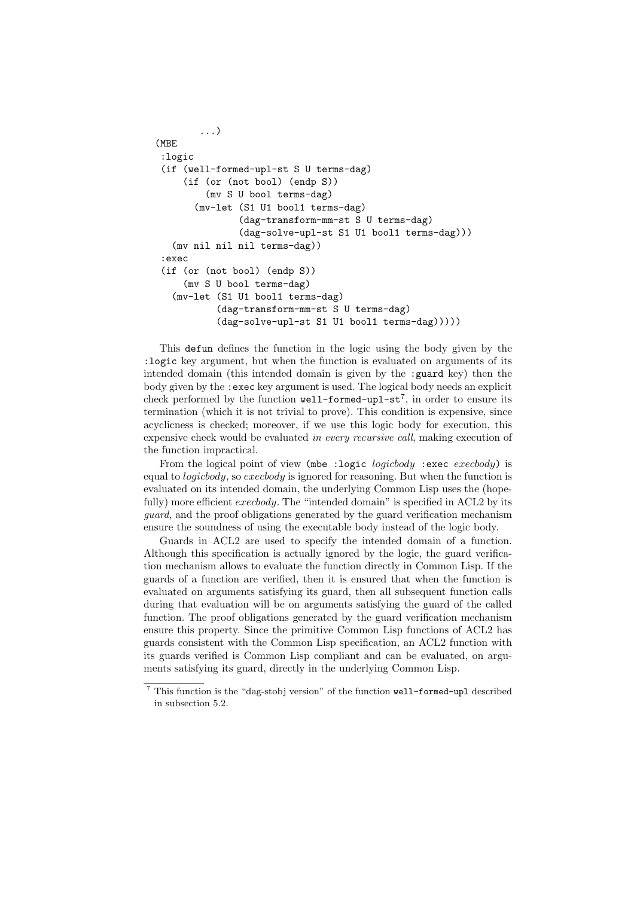```
...)
(MBE
:logic
(if (well-formed-upl-st S U terms-dag)
     (if (or (not bool) (endp S))
         (mv S U bool terms-dag)
       (mv-let (S1 U1 bool1 terms-dag)
               (dag-transform-mm-st S U terms-dag)
               (dag-solve-upl-st S1 U1 bool1 terms-dag)))
   (mv nil nil nil terms-dag))
:exec
(if (or (not bool) (endp S))
     (mv S U bool terms-dag)
   (mv-let (S1 U1 bool1 terms-dag)
           (dag-transform-mm-st S U terms-dag)
           (dag-solve-upl-st S1 U1 bool1 terms-dag)))))
```
This defun defines the function in the logic using the body given by the :logic key argument, but when the function is evaluated on arguments of its intended domain (this intended domain is given by the :guard key) then the body given by the :exec key argument is used. The logical body needs an explicit check performed by the function  $well-formed-upl-st^7$ , in order to ensure its termination (which it is not trivial to prove). This condition is expensive, since acyclicness is checked; moreover, if we use this logic body for execution, this expensive check would be evaluated in every recursive call, making execution of the function impractical.

From the logical point of view (mbe :logic logicbody :exec exectody) is equal to logicbody, so execbody is ignored for reasoning. But when the function is evaluated on its intended domain, the underlying Common Lisp uses the (hopefully) more efficient *execbody*. The "intended domain" is specified in ACL2 by its guard, and the proof obligations generated by the guard verification mechanism ensure the soundness of using the executable body instead of the logic body.

Guards in ACL2 are used to specify the intended domain of a function. Although this specification is actually ignored by the logic, the guard verification mechanism allows to evaluate the function directly in Common Lisp. If the guards of a function are verified, then it is ensured that when the function is evaluated on arguments satisfying its guard, then all subsequent function calls during that evaluation will be on arguments satisfying the guard of the called function. The proof obligations generated by the guard verification mechanism ensure this property. Since the primitive Common Lisp functions of ACL2 has guards consistent with the Common Lisp specification, an ACL2 function with its guards verified is Common Lisp compliant and can be evaluated, on arguments satisfying its guard, directly in the underlying Common Lisp.

<sup>7</sup> This function is the "dag-stobj version" of the function well-formed-upl described in subsection 5.2.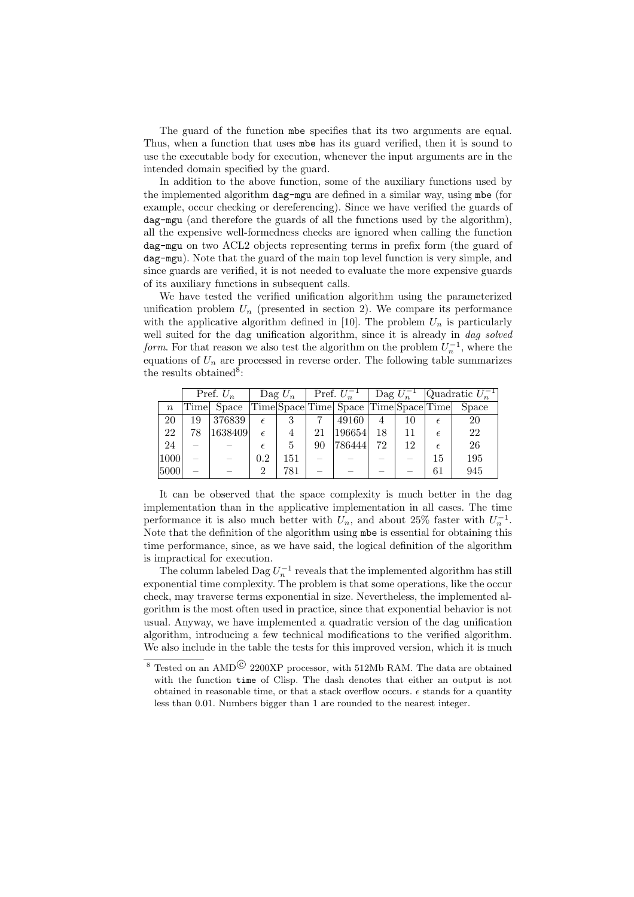The guard of the function mbe specifies that its two arguments are equal. Thus, when a function that uses mbe has its guard verified, then it is sound to use the executable body for execution, whenever the input arguments are in the intended domain specified by the guard.

In addition to the above function, some of the auxiliary functions used by the implemented algorithm dag-mgu are defined in a similar way, using mbe (for example, occur checking or dereferencing). Since we have verified the guards of dag-mgu (and therefore the guards of all the functions used by the algorithm), all the expensive well-formedness checks are ignored when calling the function dag-mgu on two ACL2 objects representing terms in prefix form (the guard of dag-mgu). Note that the guard of the main top level function is very simple, and since guards are verified, it is not needed to evaluate the more expensive guards of its auxiliary functions in subsequent calls.

We have tested the verified unification algorithm using the parameterized unification problem  $U_n$  (presented in section 2). We compare its performance with the applicative algorithm defined in [10]. The problem  $U_n$  is particularly well suited for the dag unification algorithm, since it is already in dag solved *form*. For that reason we also test the algorithm on the problem  $U_n^{-1}$ , where the equations of  $U_n$  are processed in reverse order. The following table summarizes the results obtained<sup>8</sup>:

|                  |    | Pref. $U_n$                                      |            |     |    |        |    |    | Dag $U_n$   Pref. $U_n^{-1}$   Dag $U_n^{-1}$   Quadratic $U_n^{-1}$ |              |  |
|------------------|----|--------------------------------------------------|------------|-----|----|--------|----|----|----------------------------------------------------------------------|--------------|--|
| $\boldsymbol{n}$ |    | Time Space Time Space Time Space Time Space Time |            |     |    |        |    |    |                                                                      | <b>Space</b> |  |
| 20               | 19 | 376839                                           | $\epsilon$ | 3   |    | 49160  |    | 10 | $\epsilon$                                                           | 20           |  |
| 22               | 78 | 1638409                                          | $\epsilon$ | 4   | 21 | 196654 | 18 |    | $\epsilon$                                                           | 22           |  |
| 24               |    |                                                  | $\epsilon$ | 5   | 90 | 786444 | 72 | 12 |                                                                      | 26           |  |
| 1000             |    |                                                  | 0.2        | 151 |    |        |    |    | 15                                                                   | 195          |  |
| 5000             |    |                                                  | 2          | 781 |    |        |    |    | 61                                                                   | 945          |  |

It can be observed that the space complexity is much better in the dag implementation than in the applicative implementation in all cases. The time performance it is also much better with  $U_n$ , and about 25% faster with  $U_n^{-1}$ . Note that the definition of the algorithm using mbe is essential for obtaining this time performance, since, as we have said, the logical definition of the algorithm is impractical for execution.

The column labeled Dag  $U_n^{-1}$  reveals that the implemented algorithm has still exponential time complexity. The problem is that some operations, like the occur check, may traverse terms exponential in size. Nevertheless, the implemented algorithm is the most often used in practice, since that exponential behavior is not usual. Anyway, we have implemented a quadratic version of the dag unification algorithm, introducing a few technical modifications to the verified algorithm. We also include in the table the tests for this improved version, which it is much

 $\overline{\text{8}$  Tested on an AMD<sup>C</sup> 2200XP processor, with 512Mb RAM. The data are obtained with the function time of Clisp. The dash denotes that either an output is not obtained in reasonable time, or that a stack overflow occurs.  $\epsilon$  stands for a quantity less than 0.01. Numbers bigger than 1 are rounded to the nearest integer.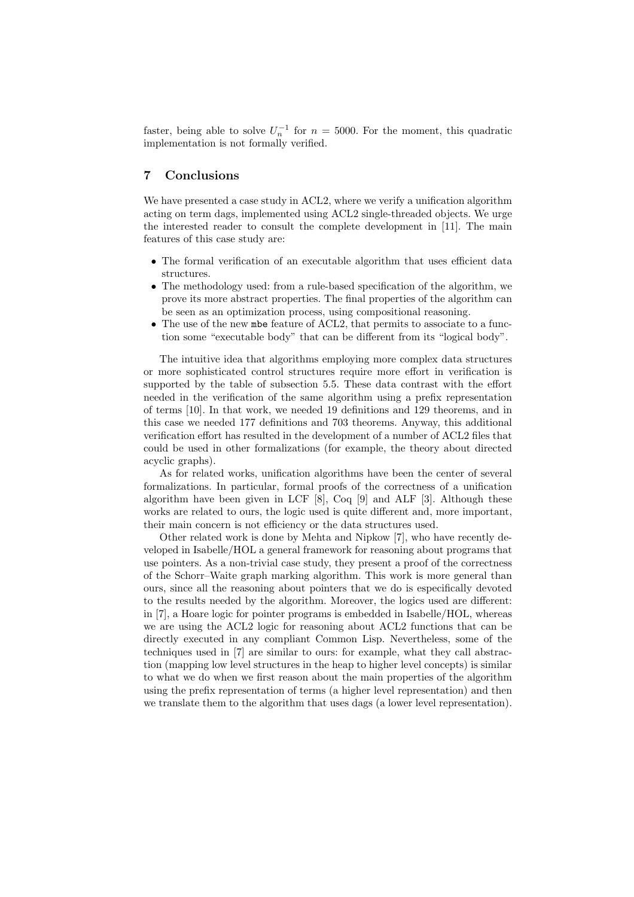faster, being able to solve  $U_n^{-1}$  for  $n = 5000$ . For the moment, this quadratic implementation is not formally verified.

# 7 Conclusions

We have presented a case study in ACL2, where we verify a unification algorithm acting on term dags, implemented using ACL2 single-threaded objects. We urge the interested reader to consult the complete development in [11]. The main features of this case study are:

- The formal verification of an executable algorithm that uses efficient data structures.
- The methodology used: from a rule-based specification of the algorithm, we prove its more abstract properties. The final properties of the algorithm can be seen as an optimization process, using compositional reasoning.
- The use of the new mbe feature of ACL2, that permits to associate to a function some "executable body" that can be different from its "logical body".

The intuitive idea that algorithms employing more complex data structures or more sophisticated control structures require more effort in verification is supported by the table of subsection 5.5. These data contrast with the effort needed in the verification of the same algorithm using a prefix representation of terms [10]. In that work, we needed 19 definitions and 129 theorems, and in this case we needed 177 definitions and 703 theorems. Anyway, this additional verification effort has resulted in the development of a number of ACL2 files that could be used in other formalizations (for example, the theory about directed acyclic graphs).

As for related works, unification algorithms have been the center of several formalizations. In particular, formal proofs of the correctness of a unification algorithm have been given in LCF [8], Coq [9] and ALF [3]. Although these works are related to ours, the logic used is quite different and, more important, their main concern is not efficiency or the data structures used.

Other related work is done by Mehta and Nipkow [7], who have recently developed in Isabelle/HOL a general framework for reasoning about programs that use pointers. As a non-trivial case study, they present a proof of the correctness of the Schorr–Waite graph marking algorithm. This work is more general than ours, since all the reasoning about pointers that we do is especifically devoted to the results needed by the algorithm. Moreover, the logics used are different: in [7], a Hoare logic for pointer programs is embedded in Isabelle/HOL, whereas we are using the ACL2 logic for reasoning about ACL2 functions that can be directly executed in any compliant Common Lisp. Nevertheless, some of the techniques used in [7] are similar to ours: for example, what they call abstraction (mapping low level structures in the heap to higher level concepts) is similar to what we do when we first reason about the main properties of the algorithm using the prefix representation of terms (a higher level representation) and then we translate them to the algorithm that uses dags (a lower level representation).